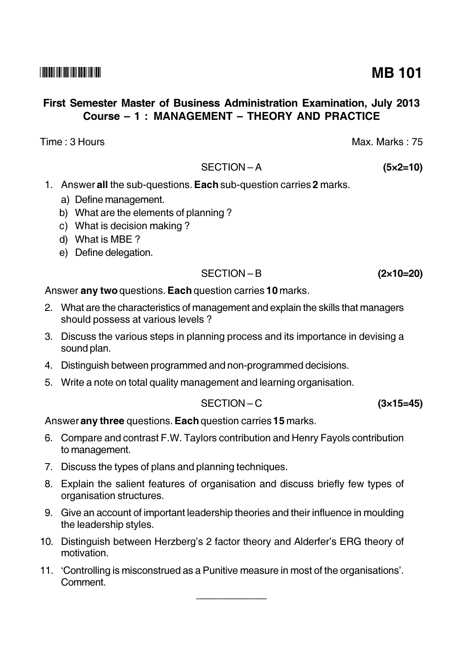## First Semester Master of Business Administration Examination, July 2013 Course - 1: MANAGEMENT - THEORY AND PRACTICE

Time: 3 Hours

# SECTION-A

- 1. Answer all the sub-questions. Each sub-question carries 2 marks.
	- a) Define management.
	- b) What are the elements of planning?
	- c) What is decision making?
	- d) What is MBE?
	- e) Define delegation.

# $SFCITION - B$

Answer any two questions. Each question carries 10 marks.

- 2. What are the characteristics of management and explain the skills that managers should possess at various levels ?
- 3. Discuss the various steps in planning process and its importance in devising a sound plan.
- 4. Distinguish between programmed and non-programmed decisions.
- 5. Write a note on total quality management and learning organisation.

$$
SECTION - C \t\t (3 \times 15 =
$$

Answer any three questions. Each question carries 15 marks.

- 6. Compare and contrast F.W. Taylors contribution and Henry Fayols contribution to management.
- 7. Discuss the types of plans and planning techniques.
- 8. Explain the salient features of organisation and discuss briefly few types of organisation structures.
- 9. Give an account of important leadership theories and their influence in moulding the leadership styles.
- 10. Distinguish between Herzberg's 2 factor theory and Alderfer's ERG theory of motivation.
- 11. 'Controlling is misconstrued as a Punitive measure in most of the organisations'. Comment.

 $(2\times10=20)$ 

 $45)$ 

 $(5 \times 2 = 10)$ 

Max. Marks: 75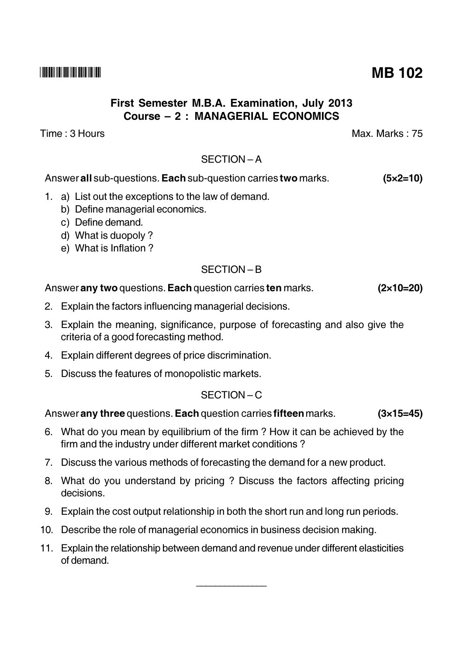## First Semester M.B.A. Examination, July 2013 Course - 2: MANAGERIAL ECONOMICS

Time : 3 Hours

## $SFCITION - A$

Answer all sub-questions. Each sub-question carries two marks.  $(5 \times 2 = 10)$ 

- 1. a) List out the exceptions to the law of demand.
	- b) Define managerial economics.
	- c) Define demand.
	- d) What is duopoly?
	- e) What is Inflation?

## SECTION-B

## Answer any two questions. Each question carries ten marks.

- 2. Explain the factors influencing managerial decisions.
- 3. Explain the meaning, significance, purpose of forecasting and also give the criteria of a good forecasting method.
- 4. Explain different degrees of price discrimination.
- 5. Discuss the features of monopolistic markets.

## SECTION-C

Answer any three questions. Each question carries fifteen marks.  $(3x15=45)$ 

- 6. What do you mean by equilibrium of the firm? How it can be achieved by the firm and the industry under different market conditions?
- 7. Discuss the various methods of forecasting the demand for a new product.
- 8. What do you understand by pricing? Discuss the factors affecting pricing decisions.
- 9. Explain the cost output relationship in both the short run and long run periods.
- 10. Describe the role of managerial economics in business decision making.
- 11. Explain the relationship between demand and revenue under different elasticities  $of$  demand

Max Marks  $\cdot$  75

 $(2\times10=20)$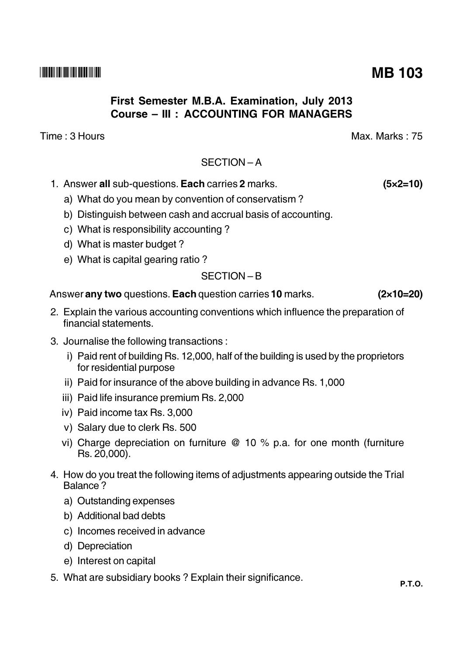# First Semester M.B.A. Examination, July 2013 Course - III : ACCOUNTING FOR MANAGERS

Time: 3 Hours

## $SFCITION - A$

- 1. Answer all sub-questions. Each carries 2 marks.
	- a) What do you mean by convention of conservatism?
	- b) Distinguish between cash and accrual basis of accounting.
	- c) What is responsibility accounting?
	- d) What is master budget?
	- e) What is capital gearing ratio?

## $SECTION - B$

Answer any two questions. Each question carries 10 marks.

- 2. Explain the various accounting conventions which influence the preparation of financial statements.
- 3. Journalise the following transactions:
	- i) Paid rent of building Rs. 12,000, half of the building is used by the proprietors for residential purpose
	- ii) Paid for insurance of the above building in advance Rs. 1,000
	- iii) Paid life insurance premium Rs. 2,000
	- iv) Paid income tax Rs. 3,000
	- v) Salary due to clerk Rs. 500
	- vi) Charge depreciation on furniture  $@$  10 % p.a. for one month (furniture Rs. 20,000).
- 4. How do you treat the following items of adjustments appearing outside the Trial Balance?
	- a) Outstanding expenses
	- b) Additional bad debts
	- c) Incomes received in advance
	- d) Depreciation
	- e) Interest on capital
- 5. What are subsidiary books? Explain their significance.

# **MB 103**

Max. Marks: 75

 $(5x2=10)$ 

 $(2\times10=20)$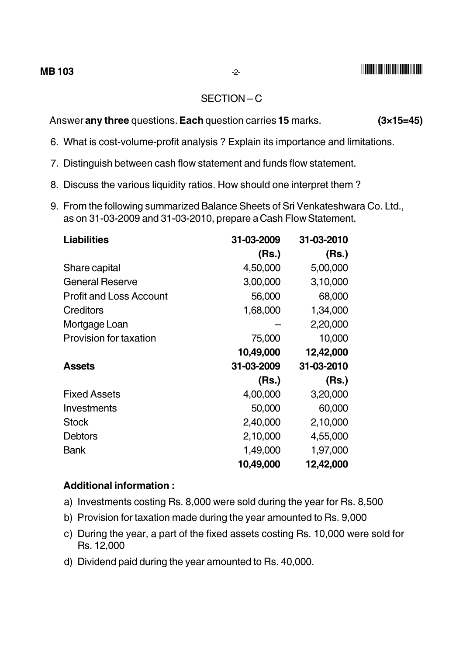## **THE REAL AND A REAL PROPERTY AND A**

#### SECTION-C

Answer any three questions. Each question carries 15 marks.  $(3\times15=45)$ 

- 6. What is cost-volume-profit analysis? Explain its importance and limitations.
- 7. Distinguish between cash flow statement and funds flow statement.
- 8. Discuss the various liquidity ratios. How should one interpret them?
- 9. From the following summarized Balance Sheets of Sri Venkateshwara Co. Ltd., as on 31-03-2009 and 31-03-2010, prepare a Cash Flow Statement.

| <b>Liabilities</b>             | 31-03-2009 | 31-03-2010 |
|--------------------------------|------------|------------|
|                                | (Rs.)      | (Rs.)      |
| Share capital                  | 4,50,000   | 5,00,000   |
| <b>General Reserve</b>         | 3,00,000   | 3,10,000   |
| <b>Profit and Loss Account</b> | 56,000     | 68,000     |
| Creditors                      | 1,68,000   | 1,34,000   |
| Mortgage Loan                  |            | 2,20,000   |
| <b>Provision for taxation</b>  | 75,000     | 10,000     |
|                                | 10,49,000  | 12,42,000  |
| <b>Assets</b>                  | 31-03-2009 | 31-03-2010 |
|                                | (Rs.)      | (Rs.)      |
| <b>Fixed Assets</b>            | 4,00,000   | 3,20,000   |
| Investments                    | 50,000     | 60,000     |
| <b>Stock</b>                   | 2,40,000   | 2,10,000   |
| <b>Debtors</b>                 | 2,10,000   | 4,55,000   |
| Bank                           | 1,49,000   | 1,97,000   |
|                                | 10,49,000  | 12,42,000  |

#### **Additional information:**

- a) Investments costing Rs. 8,000 were sold during the year for Rs. 8,500
- b) Provision for taxation made during the year amounted to Rs. 9,000
- c) During the year, a part of the fixed assets costing Rs. 10,000 were sold for Rs. 12,000
- d) Dividend paid during the year amounted to Rs. 40,000.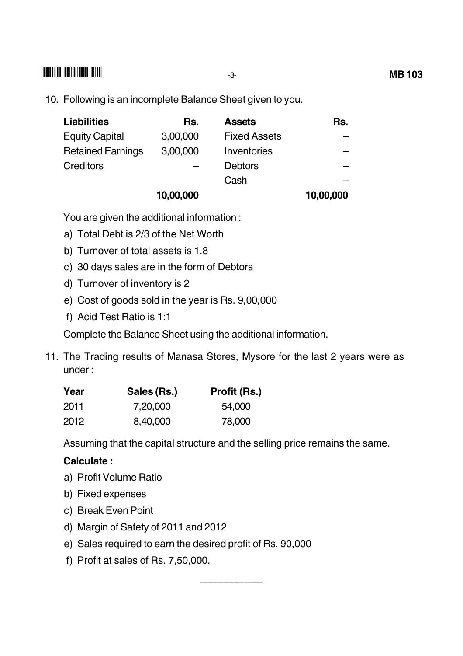## **THEIR REPORT OF A 1999 IN 1999.**

10. Following is an incomplete Balance Sheet given to you.

| <b>Liabilities</b>       | Rs.       | <b>Assets</b>       | Rs.       |
|--------------------------|-----------|---------------------|-----------|
| <b>Equity Capital</b>    | 3,00,000  | <b>Fixed Assets</b> |           |
| <b>Retained Earnings</b> | 3,00,000  | Inventories         |           |
| <b>Creditors</b>         |           | <b>Debtors</b>      |           |
|                          |           | Cash                |           |
|                          | 10,00,000 |                     | 10,00,000 |

You are given the additional information:

- a) Total Debt is 2/3 of the Net Worth
- b) Turnover of total assets is 1.8
- c) 30 days sales are in the form of Debtors
- d) Turnover of inventory is 2
- e) Cost of goods sold in the year is Rs. 9,00,000
- f) Acid Test Ratio is 1:1

Complete the Balance Sheet using the additional information.

11. The Trading results of Manasa Stores, Mysore for the last 2 years were as  $under:$ 

| Year | Sales (Rs.) | Profit (Rs.) |
|------|-------------|--------------|
| 2011 | 7,20,000    | 54,000       |
| 2012 | 8,40,000    | 78,000       |

Assuming that the capital structure and the selling price remains the same.

## **Calculate:**

- a) Profit Volume Ratio
- b) Fixed expenses
- c) Break Even Point
- d) Margin of Safety of 2011 and 2012
- e) Sales required to earn the desired profit of Rs. 90,000
- f) Profit at sales of Rs. 7,50,000.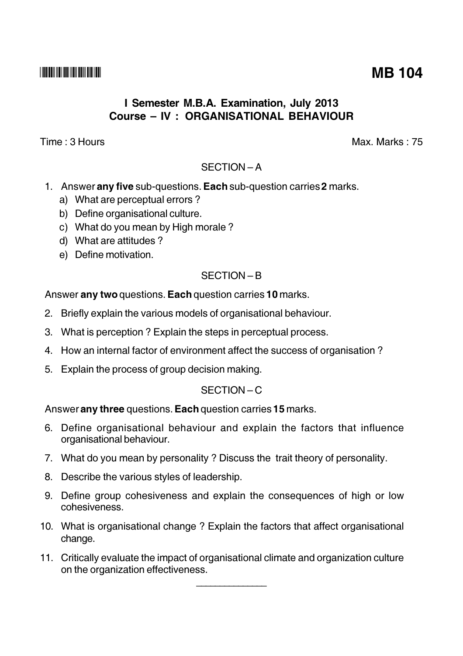## I Semester M.B.A. Examination, July 2013 **Course - IV: ORGANISATIONAL BEHAVIOUR**

Time: 3 Hours

Max. Marks: 75

## SECTION-A

- 1. Answer any five sub-questions. Each sub-question carries 2 marks.
	- a) What are perceptual errors?
	- b) Define organisational culture.
	- c) What do you mean by High morale?
	- d) What are attitudes?
	- e) Define motivation.

## $SFCITION - B$

Answer any two questions. Each question carries 10 marks.

- 2. Briefly explain the various models of organisational behaviour.
- 3. What is perception? Explain the steps in perceptual process.
- 4. How an internal factor of environment affect the success of organisation?
- 5. Explain the process of group decision making.

## $SFCITION - C$

Answer any three questions. Each question carries 15 marks.

- 6. Define organisational behaviour and explain the factors that influence organisational behaviour.
- 7. What do you mean by personality? Discuss the trait theory of personality.
- 8. Describe the various styles of leadership.
- 9. Define group cohesiveness and explain the consequences of high or low cohesiveness.
- 10. What is organisational change? Explain the factors that affect organisational change.
- 11. Critically evaluate the impact of organisational climate and organization culture on the organization effectiveness.

**MB 104**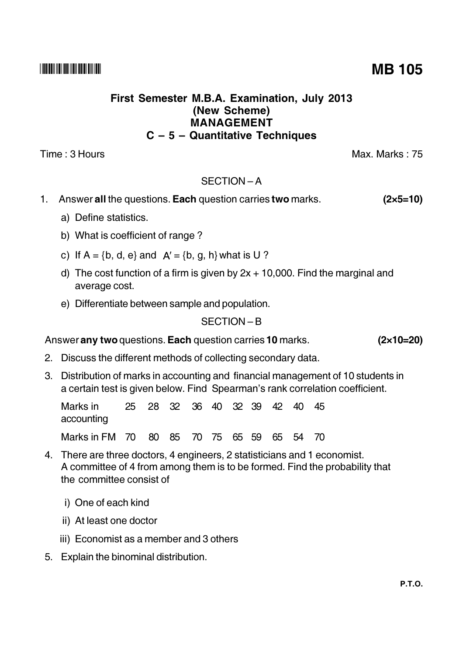## First Semester M.B.A. Examination, July 2013 (New Scheme) **MANAGEMENT**  $C - 5 -$  Quantitative Techniques

Time: 3 Hours

## SECTION-A

#### 1. Answer all the questions. Each question carries two marks.  $(2 \times 5 = 10)$

- a) Define statistics.
- b) What is coefficient of range?
- c) If  $A = \{b, d, e\}$  and  $A' = \{b, g, h\}$  what is U ?
- d) The cost function of a firm is given by  $2x + 10,000$ . Find the marginal and average cost.
- e) Differentiate between sample and population.

# SECTION-B

# Answer any two questions. Each question carries 10 marks.

- 2. Discuss the different methods of collecting secondary data.
- 3. Distribution of marks in accounting and financial management of 10 students in a certain test is given below. Find Spearman's rank correlation coefficient.

28 32 36 40 32 39 42 40 Marks in  $25$ 45 accounting Marks in FM 70 80 85 70 75 65 59 65 -54 70

- 4. There are three doctors, 4 engineers, 2 statisticians and 1 economist. A committee of 4 from among them is to be formed. Find the probability that the committee consist of
	- i) One of each kind
	- ii) At least one doctor
	- iii) Economist as a member and 3 others
- 5. Explain the binominal distribution.

**MB 105** 

 $(2\times10=20)$ 

Max. Marks: 75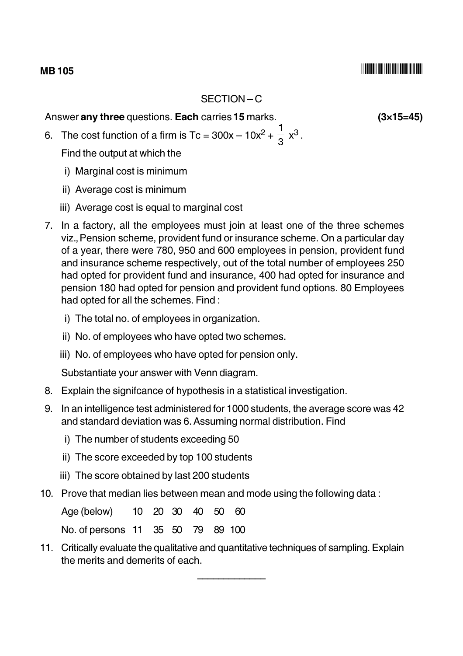#### **MB105**

## SECTION-C

Answer any three questions. Each carries 15 marks.

- 6. The cost function of a firm is Tc =  $300x 10x^2 + \frac{1}{3}x^3$ . Find the output at which the
	- i) Marginal cost is minimum
	- ii) Average cost is minimum
	- iii) Average cost is equal to marginal cost
- 7. In a factory, all the employees must join at least one of the three schemes viz., Pension scheme, provident fund or insurance scheme. On a particular day of a year, there were 780, 950 and 600 employees in pension, provident fund and insurance scheme respectively, out of the total number of employees 250 had opted for provident fund and insurance, 400 had opted for insurance and pension 180 had opted for pension and provident fund options. 80 Employees had opted for all the schemes. Find:
	- i) The total no. of employees in organization.
	- ii) No. of employees who have opted two schemes.
	- iii) No. of employees who have opted for pension only.

Substantiate your answer with Venn diagram.

- 8. Explain the signifcance of hypothesis in a statistical investigation.
- 9. In an intelligence test administered for 1000 students, the average score was 42 and standard deviation was 6. Assuming normal distribution. Find
	- i) The number of students exceeding 50
	- ii) The score exceeded by top 100 students
	- iii) The score obtained by last 200 students
- 10. Prove that median lies between mean and mode using the following data:

Age (below)  $10<sup>°</sup>$  $40$ 20 30 50 60 No. of persons 11 35 50 79 89 100

11. Critically evaluate the qualitative and quantitative techniques of sampling. Explain the merits and demerits of each.

 $(3\times15=45)$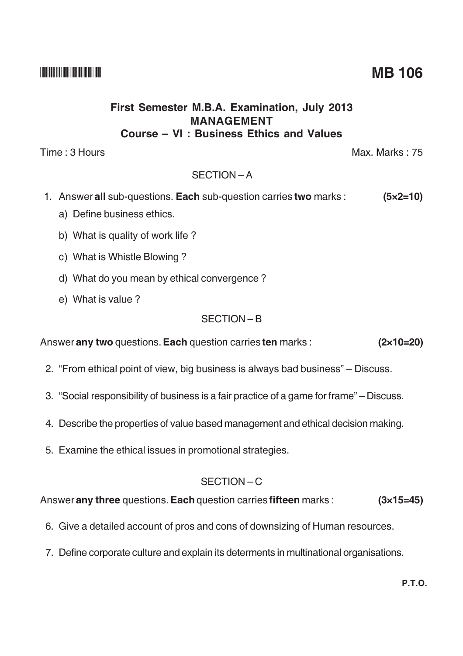## **THE REAL PROPERTY OF A REAL PROPERTY**

### First Semester M.B.A. Examination, July 2013 MANAGEMENT Course - VI : Business Ethics and Values

Time: 3 Hours

## $SFCITION - A$

- 1. Answer all sub-questions. Each sub-question carries two marks :  $(5 \times 2 = 10)$ 
	- a) Define business ethics.
	- b) What is quality of work life?
	- c) What is Whistle Blowing?
	- d) What do you mean by ethical convergence?
	- e) What is value?

## SECTION-B

Answer any two questions. Each question carries ten marks :  $(2\times10=20)$ 

- 2. "From ethical point of view, big business is always bad business" Discuss.
- 3. "Social responsibility of business is a fair practice of a game for frame" Discuss.
- 4. Describe the properties of value based management and ethical decision making.
- 5. Examine the ethical issues in promotional strategies.

## SECTION-C

Answer any three questions. Each question carries fifteen marks :  $(3\times15=45)$ 

- 6. Give a detailed account of pros and cons of downsizing of Human resources.
- 7. Define corporate culture and explain its determents in multinational organisations.

Max. Marks: 75

**MB 106**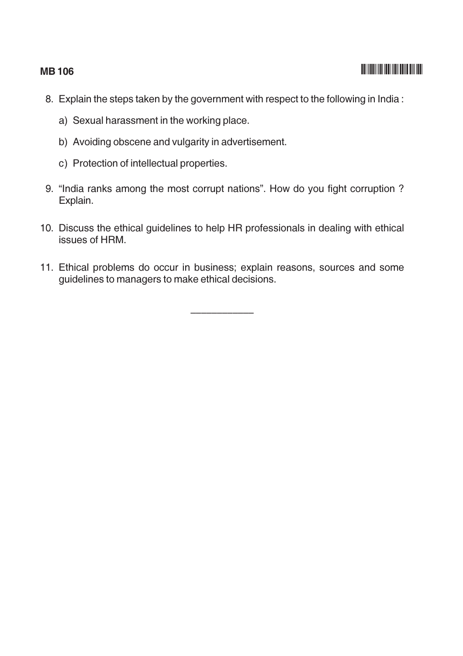#### **MB106**

- 8. Explain the steps taken by the government with respect to the following in India:
	- a) Sexual harassment in the working place.
	- b) Avoiding obscene and vulgarity in advertisement.
	- c) Protection of intellectual properties.
- 9. "India ranks among the most corrupt nations". How do you fight corruption ? Explain.
- 10. Discuss the ethical guidelines to help HR professionals in dealing with ethical issues of HRM.
- 11. Ethical problems do occur in business; explain reasons, sources and some guidelines to managers to make ethical decisions.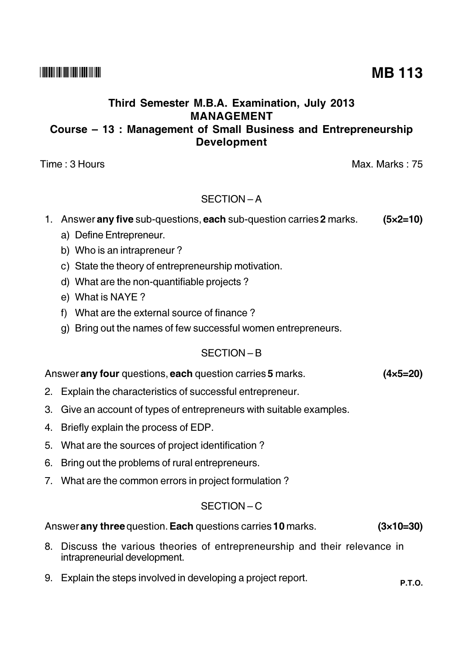## Third Semester M.B.A. Examination, July 2013 **MANAGEMENT** Course – 13: Management of Small Business and Entrepreneurship **Development**

Time: 3 Hours

## SECTION-A

#### 1. Answer any five sub-questions, each sub-question carries 2 marks.  $(5x2=10)$

- a) Define Entrepreneur.
- b) Who is an intrapreneur?
- c) State the theory of entrepreneurship motivation.
- d) What are the non-quantifiable projects?
- e) What is NAYE?
- f) What are the external source of finance?
- g) Bring out the names of few successful women entrepreneurs.

## SECTION-B

#### Answer any four questions, each question carries 5 marks.  $(4 \times 5 = 20)$

- 2. Explain the characteristics of successful entrepreneur.
- 3. Give an account of types of entrepreneurs with suitable examples.
- 4. Briefly explain the process of EDP.
- 5. What are the sources of project identification?
- 6. Bring out the problems of rural entrepreneurs.
- 7. What are the common errors in project formulation?

### $SFCITION - C$

#### Answer any three question. Each questions carries 10 marks.  $(3\times10=30)$

- 8. Discuss the various theories of entrepreneurship and their relevance in intrapreneurial development.
- 9. Explain the steps involved in developing a project report.

Max. Marks: 75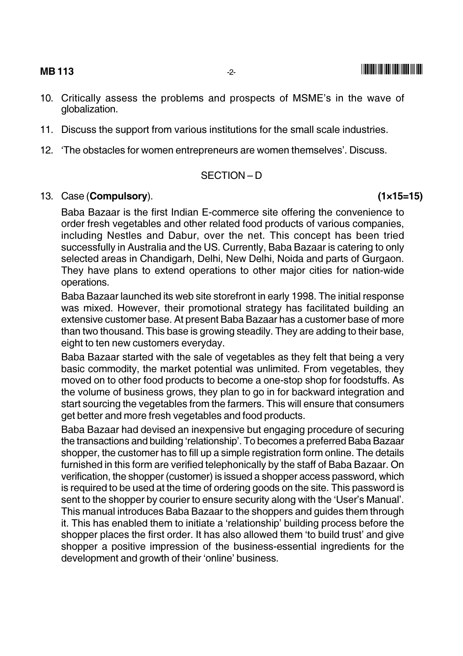**MB113** 

- 
- 10. Critically assess the problems and prospects of MSME's in the wave of globalization.
- 11. Discuss the support from various institutions for the small scale industries.
- 12. 'The obstacles for women entrepreneurs are women themselves'. Discuss.

#### SECTION-D

#### 13. Case (Compulsory).

Baba Bazaar is the first Indian E-commerce site offering the convenience to order fresh vegetables and other related food products of various companies, including Nestles and Dabur, over the net. This concept has been tried successfully in Australia and the US. Currently, Baba Bazaar is catering to only selected areas in Chandigarh, Delhi, New Delhi, Noida and parts of Gurgaon. They have plans to extend operations to other major cities for nation-wide operations.

Baba Bazaar launched its web site storefront in early 1998. The initial response was mixed. However, their promotional strategy has facilitated building an extensive customer base. At present Baba Bazaar has a customer base of more than two thousand. This base is growing steadily. They are adding to their base, eight to ten new customers everyday.

Baba Bazaar started with the sale of vegetables as they felt that being a very basic commodity, the market potential was unlimited. From vegetables, they moved on to other food products to become a one-stop shop for foodstuffs. As the volume of business grows, they plan to go in for backward integration and start sourcing the vegetables from the farmers. This will ensure that consumers get better and more fresh vegetables and food products.

Baba Bazaar had devised an inexpensive but engaging procedure of securing the transactions and building 'relationship'. To becomes a preferred Baba Bazaar shopper, the customer has to fill up a simple registration form online. The details furnished in this form are verified telephonically by the staff of Baba Bazaar, On verification, the shopper (customer) is issued a shopper access password, which is required to be used at the time of ordering goods on the site. This password is sent to the shopper by courier to ensure security along with the 'User's Manual'. This manual introduces Baba Bazaar to the shoppers and quides them through it. This has enabled them to initiate a 'relationship' building process before the shopper places the first order. It has also allowed them 'to build trust' and give shopper a positive impression of the business-essential ingredients for the development and growth of their 'online' business.

 $(1 \times 15 = 15)$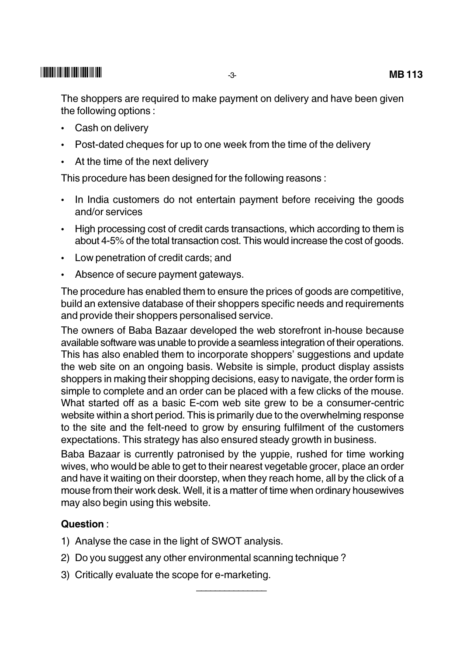The shoppers are required to make payment on delivery and have been given the following options:

- Cash on delivery  $\bullet$
- Post-dated cheques for up to one week from the time of the delivery
- At the time of the next delivery

This procedure has been designed for the following reasons:

- In India customers do not entertain payment before receiving the goods and/or services
- High processing cost of credit cards transactions, which according to them is about 4-5% of the total transaction cost. This would increase the cost of goods.
- Low penetration of credit cards; and
- Absence of secure payment gateways.

The procedure has enabled them to ensure the prices of goods are competitive, build an extensive database of their shoppers specific needs and requirements and provide their shoppers personalised service.

The owners of Baba Bazaar developed the web storefront in-house because available software was unable to provide a seamless integration of their operations. This has also enabled them to incorporate shoppers' suggestions and update the web site on an ongoing basis. Website is simple, product display assists shoppers in making their shopping decisions, easy to navigate, the order form is simple to complete and an order can be placed with a few clicks of the mouse. What started off as a basic E-com web site grew to be a consumer-centric website within a short period. This is primarily due to the overwhelming response to the site and the felt-need to grow by ensuring fulfilment of the customers expectations. This strategy has also ensured steady growth in business.

Baba Bazaar is currently patronised by the yuppie, rushed for time working wives, who would be able to get to their nearest vegetable grocer, place an order and have it waiting on their doorstep, when they reach home, all by the click of a mouse from their work desk. Well, it is a matter of time when ordinary housewives may also begin using this website.

## Question:

- 1) Analyse the case in the light of SWOT analysis.
- 2) Do you suggest any other environmental scanning technique?
- 3) Critically evaluate the scope for e-marketing.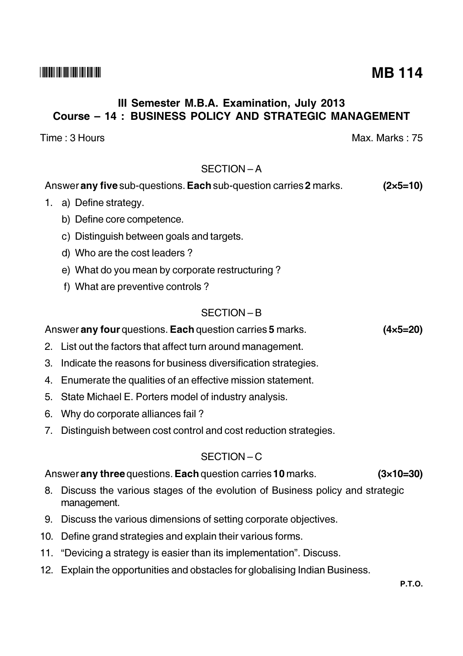## III Semester M.B.A. Examination, July 2013 **Course - 14: BUSINESS POLICY AND STRATEGIC MANAGEMENT**

Time : 3 Hours

## SECTION-A

#### Answer any five sub-questions. Each sub-question carries 2 marks.  $(2 \times 5 = 10)$

- 1. a) Define strategy.
	- b) Define core competence.
	- c) Distinguish between goals and targets.
	- d) Who are the cost leaders?
	- e) What do you mean by corporate restructuring?
	- f) What are preventive controls?

## $SFCITION - B$

## Answer any four questions. Each question carries 5 marks.

- 2. List out the factors that affect turn around management.
- 3. Indicate the reasons for business diversification strategies.
- 4. Enumerate the qualities of an effective mission statement.
- 5. State Michael E. Porters model of industry analysis.
- 6. Why do corporate alliances fail?
- 7. Distinguish between cost control and cost reduction strategies.

# $SFCITION - C$

#### Answer any three questions. Each question carries 10 marks.  $(3\times10=30)$

- 8. Discuss the various stages of the evolution of Business policy and strategic management.
- 9. Discuss the various dimensions of setting corporate objectives.
- 10. Define grand strategies and explain their various forms.
- 11. "Devicing a strategy is easier than its implementation". Discuss.
- 12. Explain the opportunities and obstacles for globalising Indian Business.

 $(4 \times 5 = 20)$ 

Max Marks  $\cdot$  75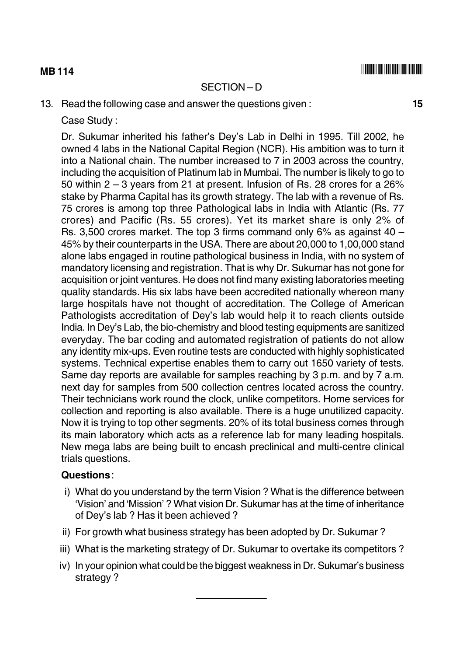#### **MB114**

#### SECTION-D

13. Read the following case and answer the questions given:

Case Study:

Dr. Sukumar inherited his father's Dey's Lab in Delhi in 1995. Till 2002, he owned 4 labs in the National Capital Region (NCR). His ambition was to turn it into a National chain. The number increased to 7 in 2003 across the country. including the acquisition of Platinum lab in Mumbai. The number is likely to go to 50 within 2 – 3 years from 21 at present. Infusion of Rs. 28 crores for a 26% stake by Pharma Capital has its growth strategy. The lab with a revenue of Rs. 75 crores is among top three Pathological labs in India with Atlantic (Rs. 77) crores) and Pacific (Rs. 55 crores). Yet its market share is only 2% of Rs. 3,500 crores market. The top 3 firms command only 6% as against 40  $-$ 45% by their counterparts in the USA. There are about 20,000 to 1,00,000 stand alone labs engaged in routine pathological business in India, with no system of mandatory licensing and registration. That is why Dr. Sukumar has not gone for acquisition or joint ventures. He does not find many existing laboratories meeting quality standards. His six labs have been accredited nationally whereon many large hospitals have not thought of accreditation. The College of American Pathologists accreditation of Dey's lab would help it to reach clients outside India. In Dey's Lab, the bio-chemistry and blood testing equipments are sanitized everyday. The bar coding and automated registration of patients do not allow any identity mix-ups. Even routine tests are conducted with highly sophisticated systems. Technical expertise enables them to carry out 1650 variety of tests. Same day reports are available for samples reaching by 3 p.m. and by 7 a.m. next day for samples from 500 collection centres located across the country. Their technicians work round the clock, unlike competitors. Home services for collection and reporting is also available. There is a huge unutilized capacity. Now it is trying to top other segments. 20% of its total business comes through its main laboratory which acts as a reference lab for many leading hospitals. New mega labs are being built to encash preclinical and multi-centre clinical trials questions.

#### Questions:

- i) What do you understand by the term Vision ? What is the difference between 'Vision' and 'Mission' ? What vision Dr. Sukumar has at the time of inheritance of Dev's lab ? Has it been achieved ?
- ii) For growth what business strategy has been adopted by Dr. Sukumar?
- iii) What is the marketing strategy of Dr. Sukumar to overtake its competitors?
- iv) In your opinion what could be the biggest weakness in Dr. Sukumar's business strategy?

15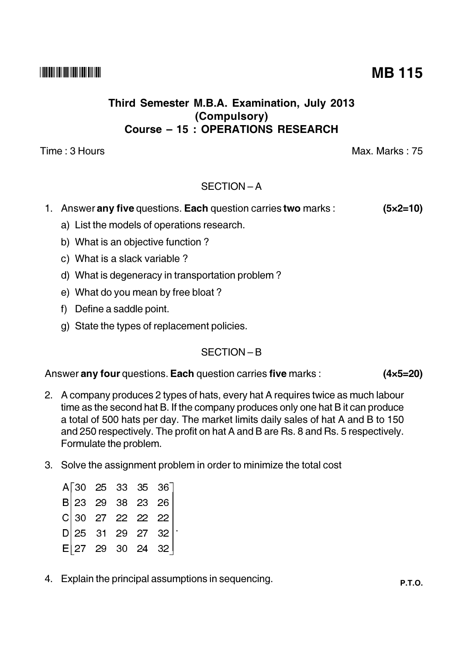## Third Semester M.B.A. Examination, July 2013 (Compulsory) **Course - 15: OPERATIONS RESEARCH**

Time : 3 Hours

## SECTION-A

- 1. Answer any five questions. Each question carries two marks :  $(5 \times 2 = 10)$ 
	- a) List the models of operations research.
	- b) What is an objective function?
	- c) What is a slack variable?
	- d) What is degeneracy in transportation problem?
	- e) What do you mean by free bloat?
	- f) Define a saddle point.
	- g) State the types of replacement policies.

## $SFCITION - B$

Answer any four questions. Each question carries five marks :  $(4 \times 5 = 20)$ 

- 2. A company produces 2 types of hats, every hat A requires twice as much labour time as the second hat B. If the company produces only one hat B it can produce a total of 500 hats per day. The market limits daily sales of hat A and B to 150 and 250 respectively. The profit on hat A and B are Rs. 8 and Rs. 5 respectively. Formulate the problem.
- 3. Solve the assignment problem in order to minimize the total cost

|  |  | A 30 25 33 35 36<br>B 23 29 38 23 26<br>C 30 27 22 22 22<br>D 25 31 29 27 32 |  |
|--|--|------------------------------------------------------------------------------|--|
|  |  |                                                                              |  |
|  |  | $E$ 27 29 30 24 32                                                           |  |

4. Explain the principal assumptions in sequencing.

**MB 115** 

Max Marks  $\cdot$  75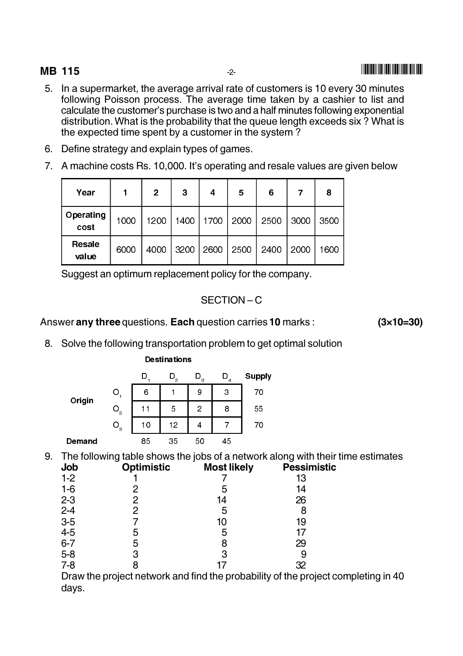## **MB 115**

- 5. In a supermarket, the average arrival rate of customers is 10 every 30 minutes following Poisson process. The average time taken by a cashier to list and calculate the customer's purchase is two and a half minutes following exponential distribution. What is the probability that the queue length exceeds six? What is the expected time spent by a customer in the system?
- 6. Define strategy and explain types of games.
- 7. A machine costs Rs. 10.000. It's operating and resale values are given below

| Year              |      | 2    | 3    | 4    | 5    | 6    |      | 8    |
|-------------------|------|------|------|------|------|------|------|------|
| Operating<br>cost | 1000 | 1200 | 1400 | 1700 | 2000 | 2500 | 3000 | 3500 |
| Resale<br>value   | 6000 | 4000 | 3200 | 2600 | 2500 | 2400 | 2000 | 1600 |

Suggest an optimum replacement policy for the company.

### SECTION-C

#### Answer any three questions. Each question carries 10 marks :

 $(3 \times 10 = 30)$ 

8. Solve the following transportation problem to get optimal solution

|        |                   | D  | $D_{2}$ | $D_{3}$        | $\overline{4}$ | <b>Supply</b> |
|--------|-------------------|----|---------|----------------|----------------|---------------|
| Origin | O                 | 6  |         | 9              | 3              | 70            |
|        | $O_{\frac{1}{2}}$ | 11 | 5       | $\overline{c}$ | 8              | 55            |
|        | $O_{3}$           | 10 | 12      | 4              |                | 70            |
| Demand |                   | 85 | 35      | 50             | 45             |               |

**Destinations** 

9. The following table shows the jobs of a network along with their time estimates

| <b>JOD</b> | <b>Optimistic</b> | <b>IVIOST LIKEIV</b> | <b>Pessimistic</b>                                                                |  |
|------------|-------------------|----------------------|-----------------------------------------------------------------------------------|--|
| $1 - 2$    |                   |                      | 13                                                                                |  |
| $1 - 6$    |                   | 5                    | 14                                                                                |  |
| $2 - 3$    |                   | 14                   | 26                                                                                |  |
| $2 - 4$    |                   | 5                    |                                                                                   |  |
| $3-5$      |                   |                      | 19                                                                                |  |
| $4 - 5$    | 5                 | 5                    |                                                                                   |  |
| $6 - 7$    | 5                 |                      | 29                                                                                |  |
| $5 - 8$    |                   |                      |                                                                                   |  |
| $7 - 8$    |                   |                      | 32                                                                                |  |
|            |                   |                      | Draw the project network and find the probability of the project completing in 40 |  |
| days.      |                   |                      |                                                                                   |  |
|            |                   |                      |                                                                                   |  |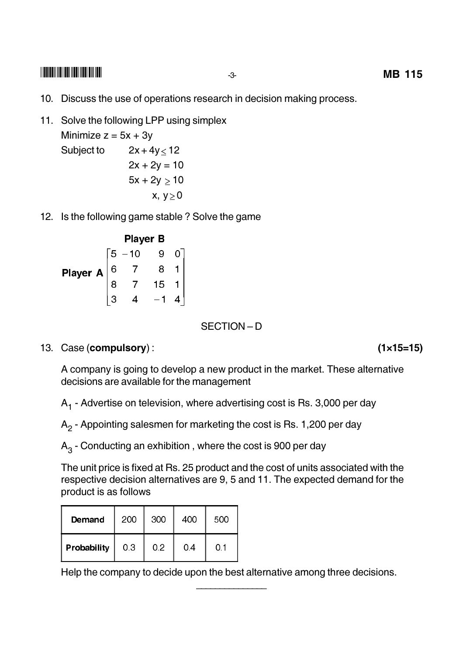- 10. Discuss the use of operations research in decision making process.
- 11. Solve the following LPP using simplex Minimize  $z = 5x + 3y$ Subject to  $2x + 4y < 12$  $2x + 2y = 10$

 $5x + 2y > 10$  $x, y>0$ 

12. Is the following game stable? Solve the game

### **Player B**

|              | 5 ،            | $-10$          | g    |  |
|--------------|----------------|----------------|------|--|
| Player A $ $ | $\overline{6}$ | $\overline{7}$ |      |  |
|              |                |                | $15$ |  |
|              |                |                |      |  |

SECTION-D

13. Case (compulsory):

A company is going to develop a new product in the market. These alternative decisions are available for the management

 $A_1$  - Advertise on television, where advertising cost is Rs. 3,000 per day

 $A<sub>2</sub>$  - Appointing salesmen for marketing the cost is Rs. 1,200 per day

 $A_3$  - Conducting an exhibition, where the cost is 900 per day

The unit price is fixed at Rs. 25 product and the cost of units associated with the respective decision alternatives are 9, 5 and 11. The expected demand for the product is as follows

| Demand      | 200 | 300 | 400 | 500 |
|-------------|-----|-----|-----|-----|
| Probability | 03  | 0 2 | 04  | 0.1 |

Help the company to decide upon the best alternative among three decisions.

 $(1 \times 15 = 15)$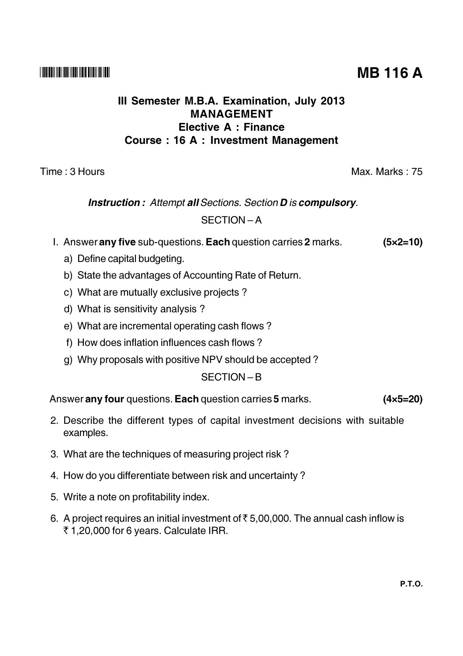## III Semester M.B.A. Examination, July 2013 **MANAGEMENT** Elective A : Finance **Course: 16 A: Investment Management**

Time: 3 Hours

#### Max. Marks: 75

# **Instruction:** Attempt all Sections. Section **D** is compulsory.  $SFCITION - A$

- I. Answer any five sub-questions. Each question carries 2 marks.  $(5 \times 2 = 10)$ 
	- a) Define capital budgeting.
	- b) State the advantages of Accounting Rate of Return.
	- c) What are mutually exclusive projects?
	- d) What is sensitivity analysis?
	- e) What are incremental operating cash flows?
	- f) How does inflation influences cash flows?
	- g) Why proposals with positive NPV should be accepted?

SECTION-B

Answer any four questions. Each question carries 5 marks.  $(4 \times 5 = 20)$ 

- 2. Describe the different types of capital investment decisions with suitable examples.
- 3. What are the techniques of measuring project risk?
- 4. How do you differentiate between risk and uncertainty?
- 5. Write a note on profitability index.
- 6. A project requires an initial investment of  $\overline{5}$  5,00,000. The annual cash inflow is ₹1,20,000 for 6 years. Calculate IRR.

**MB 116 A**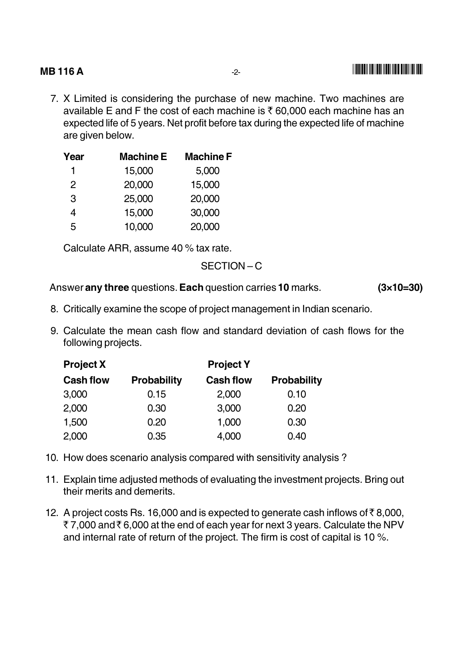#### **MB116A B** 116 A  $\qquad \qquad \overline{2}$   $\qquad \qquad \Box$

7. X Limited is considering the purchase of new machine. I wo machines are available E and F the cost of each machine is  $\bar{\tau}$  60,000 each machine has an expected life of 5 years. Net profit before tax during the expected life of machine are given below.

| Year | <b>Machine E</b> | <b>Machine F</b> |
|------|------------------|------------------|
| 1    | 15,000           | 5,000            |
| 2    | 20,000           | 15,000           |
| 3    | 25,000           | 20,000           |
| 4    | 15,000           | 30,000           |
| 5    | 10,000           | 20,000           |

Calculate ARR, assume 40 % tax rate.

SECTION-C

Answer any three questions. Each question carries 10 marks.  $(3\times10=30)$ 

- 
- 8. Critically examine the scope of project management in Indian scenario.
- 9. Calculate the mean cash flow and standard deviation of cash flows for the following projects.

| <b>Project X</b> | <b>Project Y</b>   |                  |                    |  |  |
|------------------|--------------------|------------------|--------------------|--|--|
| <b>Cash flow</b> | <b>Probability</b> | <b>Cash flow</b> | <b>Probability</b> |  |  |
| 3,000            | 0.15               | 2,000            | 0.10               |  |  |
| 2,000            | 0.30               | 3,000            | 0.20               |  |  |
| 1,500            | 0.20               | 1,000            | 0.30               |  |  |
| 2,000            | 0.35               | 4,000            | 0.40               |  |  |

- 10. How does scenario analysis compared with sensitivity analysis?
- 11. Explain time adjusted methods of evaluating the investment projects. Bring out their merits and demerits.
- 12. A project costs Rs. 16,000 and is expected to generate cash inflows of  $\bar{\tau}$  8,000, ₹ 7,000 and₹6,000 at the end of each year for next 3 years. Calculate the NPV and internal rate of return of the project. The firm is cost of capital is 10  $\%$ .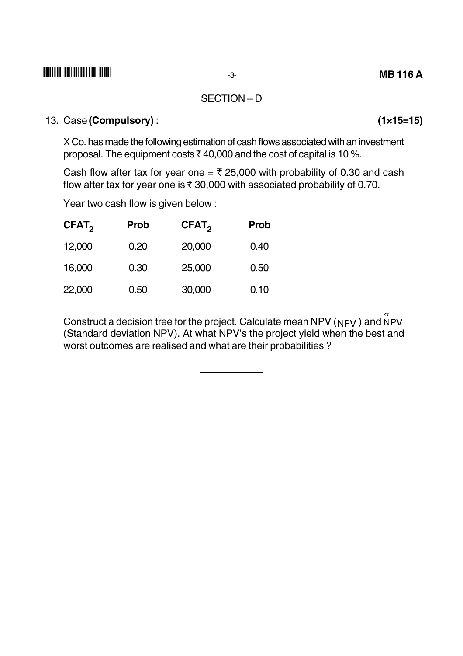#### SECTION-D

### 13. Case (Compulsory):

X Co. has made the following estimation of cash flows associated with an investment proposal. The equipment costs ₹40,000 and the cost of capital is 10 %.

Cash flow after tax for year one = ₹ 25,000 with probability of 0.30 and cash flow after tax for year one is  $\bar{x}$  30,000 with associated probability of 0.70.

Year two cash flow is given below:

| CFAT <sub>2</sub> | <b>Prob</b> | CFAT <sub>2</sub> | <b>Prob</b> |
|-------------------|-------------|-------------------|-------------|
| 12,000            | 0.20        | 20,000            | 0.40        |
| 16,000            | 0.30        | 25,000            | 0.50        |
| 22,000            | 0.50        | 30,000            | 0.10        |

Construct a decision tree for the project. Calculate mean NPV ( $\overline{\text{NPV}}$ ) and  $\overline{\text{NPV}}$ (Standard deviation NPV). At what NPV's the project yield when the best and worst outcomes are realised and what are their probabilities?

 $(1 \times 15 = 15)$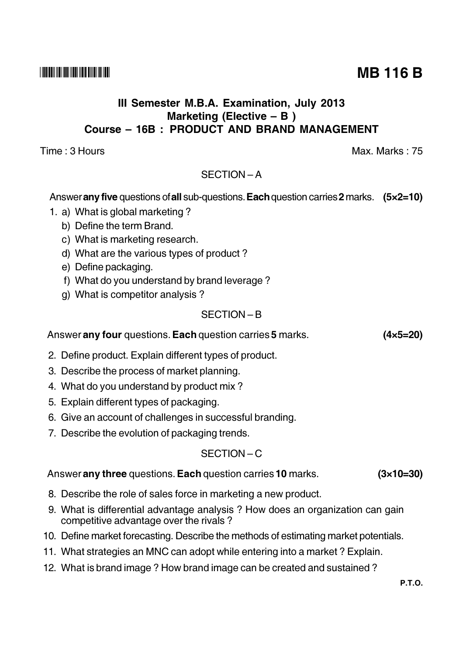## III Semester M.B.A. Examination, July 2013 Marketing (Elective  $- B$ ) Course - 16B : PRODUCT AND BRAND MANAGEMENT

Time: 3 Hours

## SECTION-A

## Answer any five questions of all sub-questions. Each question carries 2 marks.  $(5 \times 2 = 10)$

- 1. a) What is global marketing?
	- b) Define the term Brand.
	- c) What is marketing research.
	- d) What are the various types of product?
	- e) Define packaging.
	- f) What do you understand by brand leverage?
	- g) What is competitor analysis?

## $SFCITION - B$

#### Answer any four questions. Each question carries 5 marks.  $(4 \times 5 = 20)$

- 2. Define product. Explain different types of product.
- 3. Describe the process of market planning.
- 4. What do you understand by product mix?
- 5. Explain different types of packaging.
- 6. Give an account of challenges in successful branding.
- 7. Describe the evolution of packaging trends.

## $SFCITION - C$

#### Answer any three questions. Each question carries 10 marks.  $(3\times10=30)$

- 8. Describe the role of sales force in marketing a new product.
- 9. What is differential advantage analysis? How does an organization can gain competitive advantage over the rivals?
- 10. Define market forecasting. Describe the methods of estimating market potentials.
- 11. What strategies an MNC can adopt while entering into a market? Explain.
- 12. What is brand image? How brand image can be created and sustained?

**MB 116 B** 

Max Marks  $\cdot$  75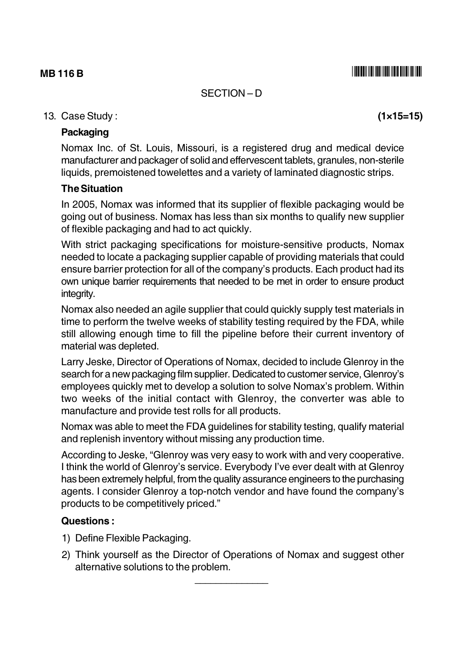SECTION-D

### 13. Case Study:

### **Packaging**

Nomax Inc. of St. Louis, Missouri, is a registered drug and medical device manufacturer and packager of solid and effervescent tablets, granules, non-sterile liquids, premoistened towelettes and a variety of laminated diagnostic strips.

#### **The Situation**

In 2005, Nomax was informed that its supplier of flexible packaging would be going out of business. Nomax has less than six months to qualify new supplier of flexible packaging and had to act quickly.

With strict packaging specifications for moisture-sensitive products, Nomax needed to locate a packaging supplier capable of providing materials that could ensure barrier protection for all of the company's products. Each product had its own unique barrier requirements that needed to be met in order to ensure product integrity.

Nomax also needed an agile supplier that could quickly supply test materials in time to perform the twelve weeks of stability testing required by the FDA, while still allowing enough time to fill the pipeline before their current inventory of material was depleted.

Larry Jeske, Director of Operations of Nomax, decided to include Glenroy in the search for a new packaging film supplier. Dedicated to customer service, Glenroy's employees quickly met to develop a solution to solve Nomax's problem. Within two weeks of the initial contact with Glenroy, the converter was able to manufacture and provide test rolls for all products.

Nomax was able to meet the FDA guidelines for stability testing, qualify material and replenish inventory without missing any production time.

According to Jeske, "Glenroy was very easy to work with and very cooperative. I think the world of Glenrov's service. Everybody I've ever dealt with at Glenroy has been extremely helpful, from the quality assurance engineers to the purchasing agents. I consider Glenroy a top-notch vendor and have found the company's products to be competitively priced."

#### **Questions:**

- 1) Define Flexible Packaging.
- 2) Think yourself as the Director of Operations of Nomax and suggest other alternative solutions to the problem.

 $(1 \times 15 = 15)$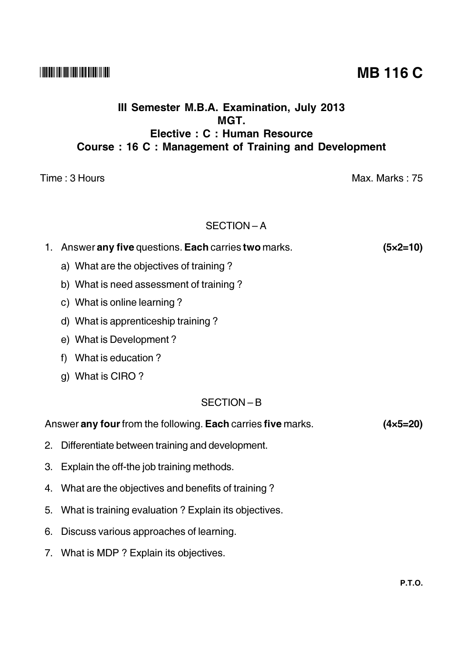## III Semester M.B.A. Examination, July 2013 MGT. Elective: C: Human Resource Course: 16 C: Management of Training and Development

Time: 3 Hours

### SECTION-A

## 1. Answer any five questions. Each carries two marks.  $(5 \times 2 = 10)$ a) What are the objectives of training?

- b) What is need assessment of training?
- c) What is online learning?
- d) What is apprenticeship training?
- e) What is Development?
- f) What is education?
- g) What is CIRO?

## $SFCITION - B$

#### Answer any four from the following. Each carries five marks.  $(4 \times 5 = 20)$

- 2. Differentiate between training and development.
- 3. Explain the off-the job training methods.
- 4. What are the objectives and benefits of training?
- 5. What is training evaluation? Explain its objectives.
- 6. Discuss various approaches of learning.
- 7. What is MDP? Explain its objectives.

# **MB 116 C**

Max. Marks: 75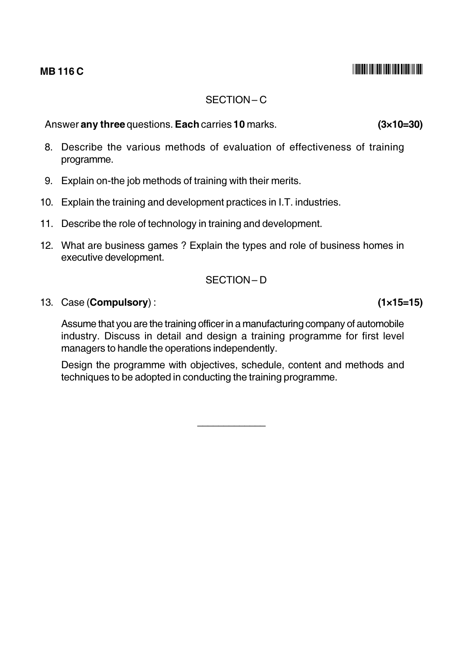## $SECTION - C$

Answer any three questions. Each carries 10 marks.

- 8. Describe the various methods of evaluation of effectiveness of training programme.
- 9. Explain on-the job methods of training with their merits.
- 10. Explain the training and development practices in I.T. industries.
- 11. Describe the role of technology in training and development.
- 12. What are business games? Explain the types and role of business homes in executive development.

#### SECTION-D

#### 13. Case (Compulsory):

Assume that you are the training officer in a manufacturing company of automobile industry. Discuss in detail and design a training programme for first level managers to handle the operations independently.

Design the programme with objectives, schedule, content and methods and techniques to be adopted in conducting the training programme.

 $(1 \times 15 = 15)$ 

 $(3 \times 10 = 30)$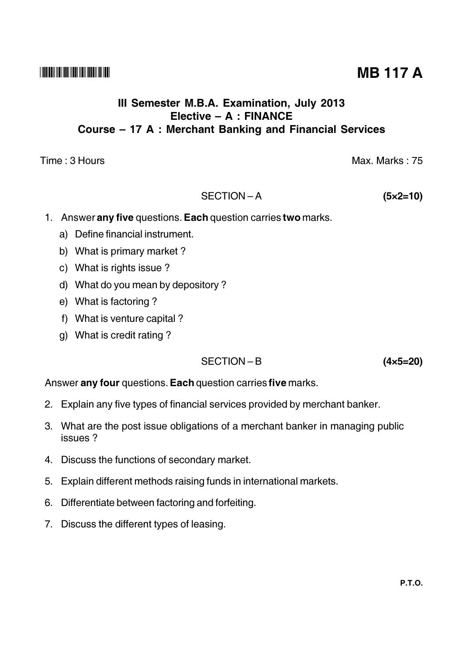## III Semester M.B.A. Examination, July 2013 Elective - A : FINANCE Course – 17 A: Merchant Banking and Financial Services

Time: 3 Hours

#### SECTION-A  $(5 \times 2 = 10)$

- 1. Answer any five questions. Each question carries two marks.
	- a) Define financial instrument.
	- b) What is primary market?
	- c) What is rights issue?
	- d) What do you mean by depository?
	- e) What is factoring?
	- f) What is venture capital?
	- g) What is credit rating?

## SECTION-B

Answer any four questions. Each question carries five marks.

- 2. Explain any five types of financial services provided by merchant banker.
- 3. What are the post issue obligations of a merchant banker in managing public issues?
- 4. Discuss the functions of secondary market.
- 5. Explain different methods raising funds in international markets.
- 6. Differentiate between factoring and forfeiting.
- 7. Discuss the different types of leasing.

**MB 117 A** 

Max. Marks: 75

 $(4 \times 5 = 20)$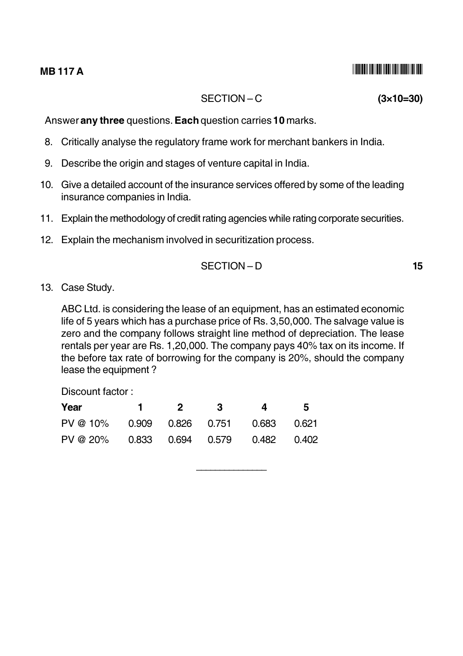#### **MB117A**

### SECTION-C

Answer any three questions. Each question carries 10 marks.

- 8. Critically analyse the regulatory frame work for merchant bankers in India.
- 9. Describe the origin and stages of venture capital in India.
- 10. Give a detailed account of the insurance services offered by some of the leading insurance companies in India.
- 11. Explain the methodology of credit rating agencies while rating corporate securities.
- 12. Explain the mechanism involved in securitization process.

13. Case Studv.

ABC Ltd. is considering the lease of an equipment, has an estimated economic life of 5 years which has a purchase price of Rs. 3,50,000. The salvage value is zero and the company follows straight line method of depreciation. The lease rentals per year are Rs. 1,20,000. The company pays 40% tax on its income. If the before tax rate of borrowing for the company is 20%, should the company lease the equipment?

Discount factor:

| Year                                   |  | $1 \quad 2 \quad 3 \quad 4 \quad 5$ |  |
|----------------------------------------|--|-------------------------------------|--|
| PV @ 10% 0.909 0.826 0.751 0.683 0.621 |  |                                     |  |
| PV @ 20% 0.833 0.694 0.579 0.482 0.402 |  |                                     |  |

 $(3\times10=30)$ 

15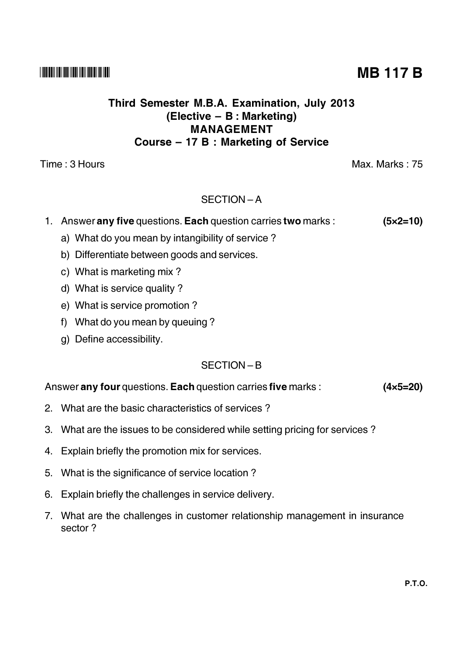## Third Semester M.B.A. Examination, July 2013 (Elective - B : Marketing) **MANAGEMENT** Course - 17 B : Marketing of Service

Time: 3 Hours

## SECTION-A

#### 1. Answer any five questions. Each question carries two marks :  $(5 \times 2 = 10)$

- a) What do you mean by intangibility of service?
- b) Differentiate between goods and services.
- c) What is marketing mix?
- d) What is service quality?
- e) What is service promotion?
- f) What do you mean by queuing?
- q) Define accessibility.

### $SFCITION - B$

#### Answer any four questions. Each question carries five marks :  $(4 \times 5 = 20)$

- 2. What are the basic characteristics of services?
- 3. What are the issues to be considered while setting pricing for services?
- 4. Explain briefly the promotion mix for services.
- 5. What is the significance of service location?
- 6. Explain briefly the challenges in service delivery.
- 7. What are the challenges in customer relationship management in insurance sector?

# **MB 117 B**

Max. Marks: 75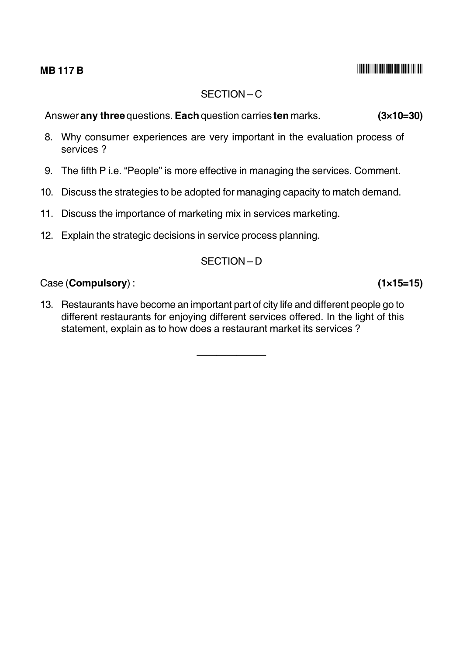### **MB 117 B**

## $SFCITION - C$

Answer any three questions. Each question carries ten marks.  $(3 \times 10 = 30)$ 

- 8. Why consumer experiences are very important in the evaluation process of services ?
- 9. The fifth P i.e. "People" is more effective in managing the services. Comment.
- 10. Discuss the strategies to be adopted for managing capacity to match demand.
- 11. Discuss the importance of marketing mix in services marketing.
- 12. Explain the strategic decisions in service process planning.

### SECTION-D

### Case (Compulsory):

13. Restaurants have become an important part of city life and different people go to different restaurants for enjoying different services offered. In the light of this statement, explain as to how does a restaurant market its services?

 $(1 \times 15=15)$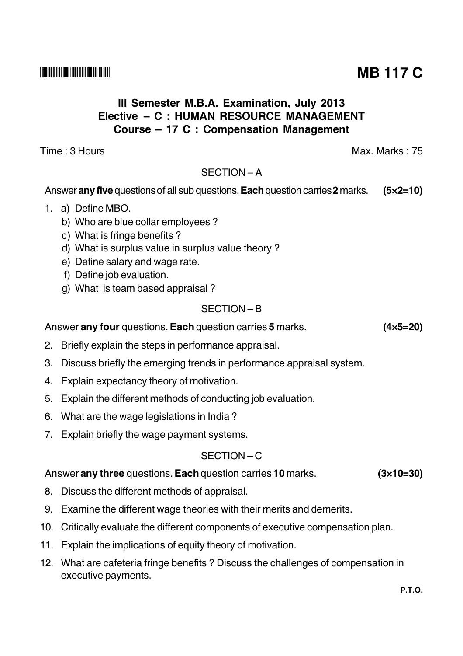# III Semester M.B.A. Examination, July 2013 Elective - C : HUMAN RESOURCE MANAGEMENT Course – 17 C : Compensation Management

Time : 3 Hours

# $SFCITION - A$

#### Answer any five questions of all sub questions. Each question carries 2 marks.  $(5x2=10)$

- 1. a) Define MBO.
	- b) Who are blue collar employees?
	- c) What is fringe benefits?
	- d) What is surplus value in surplus value theory?
	- e) Define salary and wage rate.
	- f) Define job evaluation.
	- g) What is team based appraisal?

# SECTION-B

Answer any four questions. Each question carries 5 marks.

- 2. Briefly explain the steps in performance appraisal.
- 3. Discuss briefly the emerging trends in performance appraisal system.
- 4. Explain expectancy theory of motivation.
- 5. Explain the different methods of conducting job evaluation.
- 6. What are the wage legislations in India?
- 7. Explain briefly the wage payment systems.

# $SFCITION - C$

# Answer any three questions. Each question carries 10 marks.

- 8. Discuss the different methods of appraisal.
- 9. Examine the different wage theories with their merits and demerits.
- 10. Critically evaluate the different components of executive compensation plan.
- 11. Explain the implications of equity theory of motivation.
- 12. What are cafeteria fringe benefits? Discuss the challenges of compensation in executive payments.

**MB 117 C** 

 $(4 \times 5 = 20)$ 

 $(3\times10=30)$ 

Max Marks . 75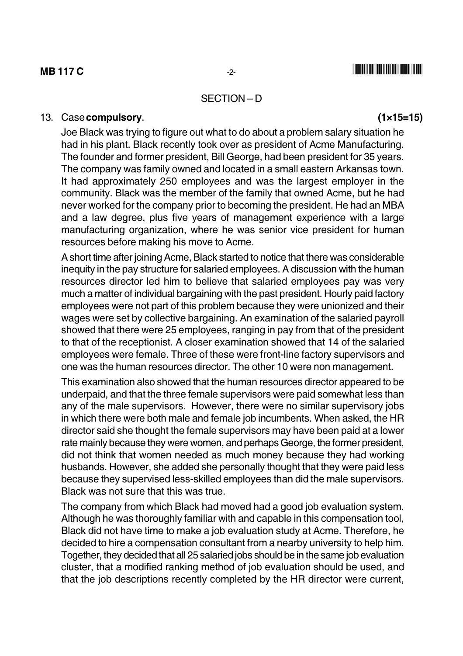#### SECTION-D

#### 13. Case compulsory.

Joe Black was trying to figure out what to do about a problem salary situation he had in his plant. Black recently took over as president of Acme Manufacturing. The founder and former president, Bill George, had been president for 35 years. The company was family owned and located in a small eastern Arkansas town. It had approximately 250 employees and was the largest employer in the community. Black was the member of the family that owned Acme, but he had never worked for the company prior to becoming the president. He had an MBA and a law degree, plus five vears of management experience with a large manufacturing organization, where he was senior vice president for human resources before making his move to Acme.

A short time after joining Acme, Black started to notice that there was considerable inequity in the pay structure for salaried employees. A discussion with the human resources director led him to believe that salaried employees pay was very much a matter of individual bargaining with the past president. Hourly paid factory employees were not part of this problem because they were unionized and their wages were set by collective bargaining. An examination of the salaried payroll showed that there were 25 employees, ranging in pay from that of the president to that of the receptionist. A closer examination showed that 14 of the salaried employees were female. Three of these were front-line factory supervisors and one was the human resources director. The other 10 were non management.

This examination also showed that the human resources director appeared to be underpaid, and that the three female supervisors were paid somewhat less than any of the male supervisors. However, there were no similar supervisory jobs in which there were both male and female job incumbents. When asked, the HR director said she thought the female supervisors may have been paid at a lower rate mainly because they were women, and perhaps George, the former president, did not think that women needed as much money because they had working husbands. However, she added she personally thought that they were paid less because they supervised less-skilled employees than did the male supervisors. Black was not sure that this was true.

The company from which Black had moved had a good job evaluation system. Although he was thoroughly familiar with and capable in this compensation tool, Black did not have time to make a job evaluation study at Acme. Therefore, he decided to hire a compensation consultant from a nearby university to help him. Together, they decided that all 25 salaried jobs should be in the same job evaluation cluster, that a modified ranking method of job evaluation should be used, and that the job descriptions recently completed by the HR director were current,

 $(1 \times 15 = 15)$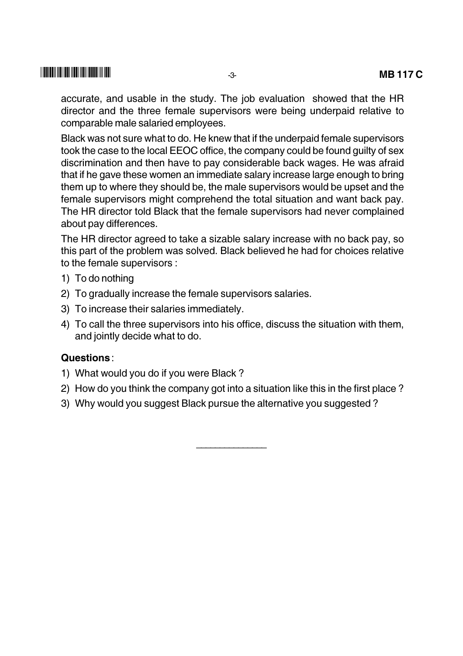accurate, and usable in the study. The job evaluation showed that the HR director and the three female supervisors were being underpaid relative to comparable male salaried employees.

Black was not sure what to do. He knew that if the underpaid female supervisors took the case to the local EEOC office, the company could be found quilty of sex discrimination and then have to pay considerable back wages. He was afraid that if he gave these women an immediate salary increase large enough to bring them up to where they should be, the male supervisors would be upset and the female supervisors might comprehend the total situation and want back pay. The HR director told Black that the female supervisors had never complained about pay differences.

The HR director agreed to take a sizable salary increase with no back pay, so this part of the problem was solved. Black believed he had for choices relative to the female supervisors :

- 1) To do nothing
- 2) To gradually increase the female supervisors salaries.
- 3) To increase their salaries immediately.
- 4) To call the three supervisors into his office, discuss the situation with them, and jointly decide what to do.

#### Questions:

- 1) What would you do if you were Black?
- 2) How do you think the company got into a situation like this in the first place?
- 3) Why would you suggest Black pursue the alternative you suggested?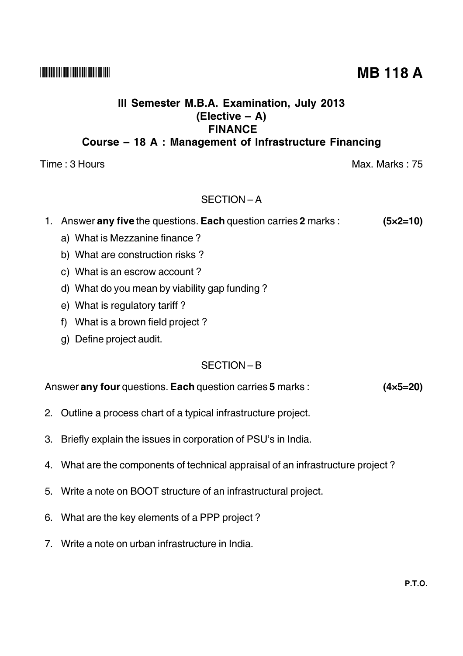**P.T.O.** 

## 

## III Semester M.B.A. Examination, July 2013  $(Electric - A)$ **FINANCE** Course - 18 A : Management of Infrastructure Financing

Time: 3 Hours

## SECTION-A

- 1. Answer any five the questions. Each question carries 2 marks :  $(5 \times 2 = 10)$ 
	- a) What is Mezzanine finance?
	- b) What are construction risks?
	- c) What is an escrow account?
	- d) What do you mean by viability gap funding?
	- e) What is regulatory tariff?
	- f) What is a brown field project?
	- q) Define project audit.

## $SFCITION - B$

#### Answer any four questions. Each question carries 5 marks :  $(4 \times 5 = 20)$

- 2. Outline a process chart of a typical infrastructure project.
- 3. Briefly explain the issues in corporation of PSU's in India.
- 4. What are the components of technical appraisal of an infrastructure project?
- 5. Write a note on BOOT structure of an infrastructural project.
- 6. What are the key elements of a PPP project?
- 7. Write a note on urban infrastructure in India.

**MB 118 A** 

Max. Marks: 75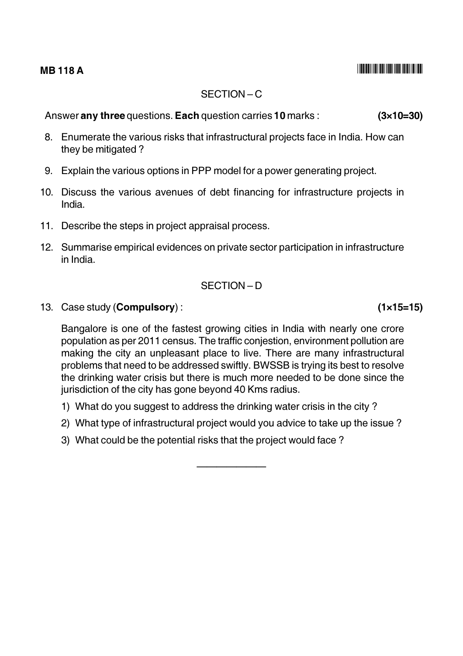## $SFCITION - C$

Answer any three questions. Each question carries 10 marks :

- 8. Enumerate the various risks that infrastructural projects face in India. How can they be mitigated?
- 9. Explain the various options in PPP model for a power generating project.
- 10. Discuss the various avenues of debt financing for infrastructure projects in India.
- 11. Describe the steps in project appraisal process.
- 12. Summarise empirical evidences on private sector participation in infrastructure in India

## SECTION-D

13. Case study (Compulsory):

Bangalore is one of the fastest growing cities in India with nearly one crore population as per 2011 census. The traffic conjestion, environment pollution are making the city an unpleasant place to live. There are many infrastructural problems that need to be addressed swiftly. BWSSB is trying its best to resolve the drinking water crisis but there is much more needed to be done since the jurisdiction of the city has gone beyond 40 Kms radius.

- 1) What do you suggest to address the drinking water crisis in the city?
- 2) What type of infrastructural project would you advice to take up the issue?
- 3) What could be the potential risks that the project would face?

 $(1 \times 15 = 15)$ 

 $(3\times10=30)$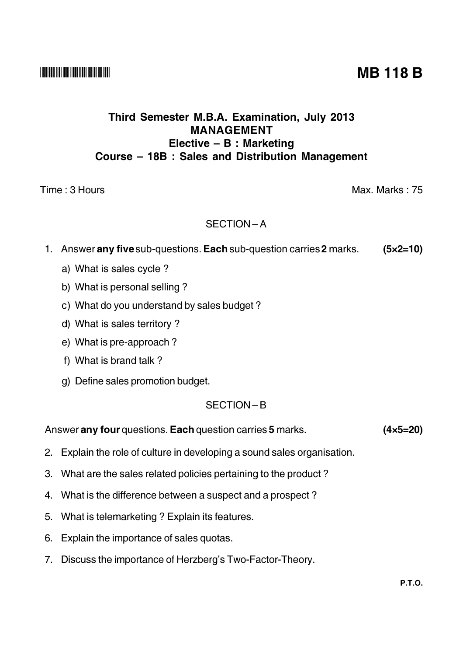## Third Semester M.B.A. Examination, July 2013 **MANAGEMENT** Elective - B : Marketing Course – 18B : Sales and Distribution Management

### Time: 3 Hours

### SECTION-A

- 1. Answer any five sub-questions. Each sub-question carries 2 marks.  $(5 \times 2 = 10)$ 
	- a) What is sales cycle?
	- b) What is personal selling?
	- c) What do you understand by sales budget?
	- d) What is sales territory?
	- e) What is pre-approach?
	- f) What is brand talk?
	- g) Define sales promotion budget.

#### SECTION-B

Answer any four questions. Each question carries 5 marks.

- 2. Explain the role of culture in developing a sound sales organisation.
- 3. What are the sales related policies pertaining to the product?
- 4. What is the difference between a suspect and a prospect?
- 5. What is telemarketing? Explain its features.
- 6. Explain the importance of sales quotas.
- 7. Discuss the importance of Herzberg's Two-Factor-Theory.

 $(4 \times 5 = 20)$ 

# **MB 118 B**

Max. Marks: 75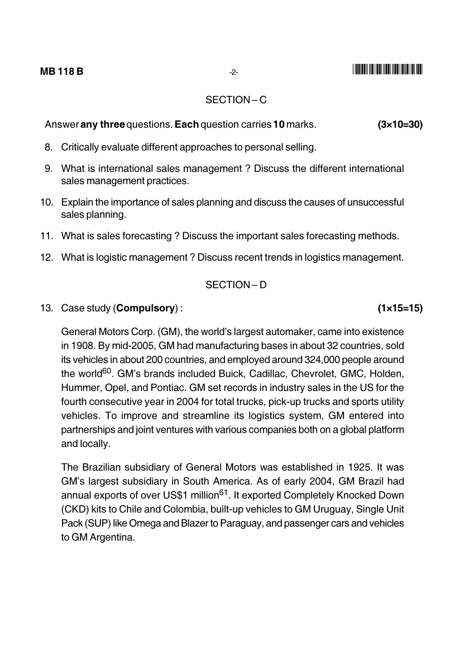#### SECTION-C

 $(3 \times 10 = 30)$ Answer any three questions. Each question carries 10 marks.

- 8. Critically evaluate different approaches to personal selling.
- 9. What is international sales management? Discuss the different international sales management practices.
- 10. Explain the importance of sales planning and discuss the causes of unsuccessful sales planning.
- 11. What is sales forecasting? Discuss the important sales forecasting methods.
- 12. What is logistic management? Discuss recent trends in logistics management.

### SECTION-D

13. Case study (**Compulsory**):

General Motors Corp. (GM), the world's largest automaker, came into existence in 1908. By mid-2005, GM had manufacturing bases in about 32 countries, sold its vehicles in about 200 countries, and employed around 324,000 people around the world<sup>60</sup>. GM's brands included Buick, Cadillac, Chevrolet, GMC, Holden, Hummer, Opel, and Pontiac. GM set records in industry sales in the US for the fourth consecutive year in 2004 for total trucks, pick-up trucks and sports utility vehicles. To improve and streamline its logistics system, GM entered into partnerships and joint ventures with various companies both on a global platform and locally.

The Brazilian subsidiary of General Motors was established in 1925. It was GM's largest subsidiary in South America. As of early 2004, GM Brazil had annual exports of over US\$1 million<sup>61</sup>. It exported Completely Knocked Down (CKD) kits to Chile and Colombia, built-up vehicles to GM Uruguay, Single Unit Pack (SUP) like Omega and Blazer to Paraguay, and passenger cars and vehicles to GM Argentina.

 $(1 \times 15 = 15)$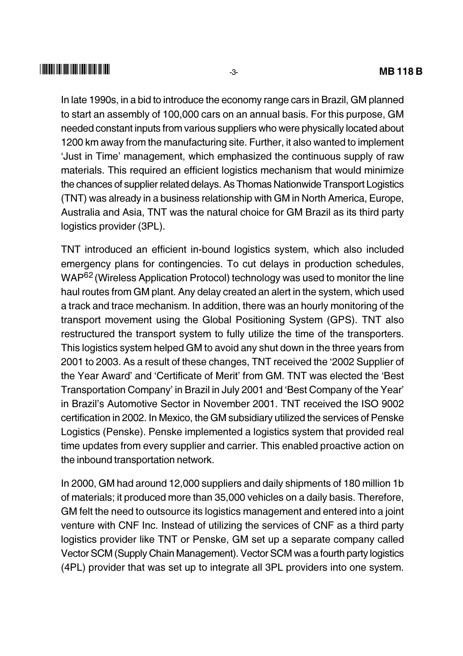In late 1990s, in a bid to introduce the economy range cars in Brazil. GM planned to start an assembly of 100,000 cars on an annual basis. For this purpose, GM needed constant inputs from various suppliers who were physically located about 1200 km away from the manufacturing site. Further, it also wanted to implement 'Just in Time' management, which emphasized the continuous supply of raw materials. This required an efficient logistics mechanism that would minimize the chances of supplier related delays. As Thomas Nationwide Transport Logistics (TNT) was already in a business relationship with GM in North America, Europe, Australia and Asia. TNT was the natural choice for GM Brazil as its third party logistics provider (3PL).

TNT introduced an efficient in-bound logistics system, which also included emergency plans for contingencies. To cut delays in production schedules. WAP<sup>62</sup> (Wireless Application Protocol) technology was used to monitor the line haul routes from GM plant. Any delay created an alert in the system, which used a track and trace mechanism. In addition, there was an hourly monitoring of the transport movement using the Global Positioning System (GPS). TNT also restructured the transport system to fully utilize the time of the transporters. This logistics system helped GM to avoid any shut down in the three years from 2001 to 2003. As a result of these changes, TNT received the '2002 Supplier of the Year Award' and 'Certificate of Merit' from GM. TNT was elected the 'Best Transportation Company' in Brazil in July 2001 and 'Best Company of the Year' in Brazil's Automotive Sector in November 2001. TNT received the ISO 9002 certification in 2002. In Mexico, the GM subsidiary utilized the services of Penske Logistics (Penske). Penske implemented a logistics system that provided real time updates from every supplier and carrier. This enabled proactive action on the inbound transportation network.

In 2000, GM had around 12,000 suppliers and daily shipments of 180 million 1b of materials; it produced more than 35,000 vehicles on a daily basis. Therefore, GM felt the need to outsource its logistics management and entered into a joint venture with CNF Inc. Instead of utilizing the services of CNF as a third party logistics provider like TNT or Penske, GM set up a separate company called Vector SCM (Supply Chain Management). Vector SCM was a fourth party logistics (4PL) provider that was set up to integrate all 3PL providers into one system.

 $-3-$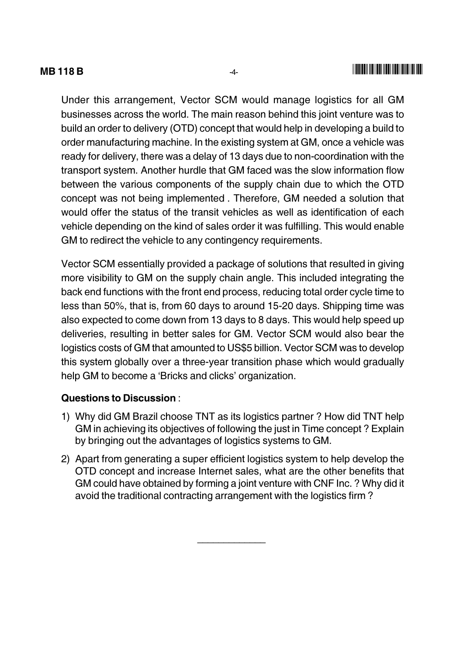#### **MB118B**

Under this arrangement. Vector SCM would manage logistics for all GM businesses across the world. The main reason behind this joint venture was to build an order to delivery (OTD) concept that would help in developing a build to order manufacturing machine. In the existing system at GM, once a vehicle was ready for delivery, there was a delay of 13 days due to non-coordination with the transport system. Another hurdle that GM faced was the slow information flow between the various components of the supply chain due to which the OTD concept was not being implemented. Therefore, GM needed a solution that would offer the status of the transit vehicles as well as identification of each vehicle depending on the kind of sales order it was fulfilling. This would enable GM to redirect the vehicle to any contingency requirements.

Vector SCM essentially provided a package of solutions that resulted in giving more visibility to GM on the supply chain angle. This included integrating the back end functions with the front end process, reducing total order cycle time to less than 50%, that is, from 60 days to around 15-20 days. Shipping time was also expected to come down from 13 days to 8 days. This would help speed up deliveries, resulting in better sales for GM. Vector SCM would also bear the logistics costs of GM that amounted to US\$5 billion. Vector SCM was to develop this system globally over a three-year transition phase which would gradually help GM to become a 'Bricks and clicks' organization.

#### Questions to Discussion

- 1) Why did GM Brazil choose TNT as its logistics partner? How did TNT help GM in achieving its objectives of following the just in Time concept? Explain by bringing out the advantages of logistics systems to GM.
- 2) Apart from generating a super efficient logistics system to help develop the OTD concept and increase Internet sales, what are the other benefits that GM could have obtained by forming a joint venture with CNF Inc. ? Why did it avoid the traditional contracting arrangement with the logistics firm?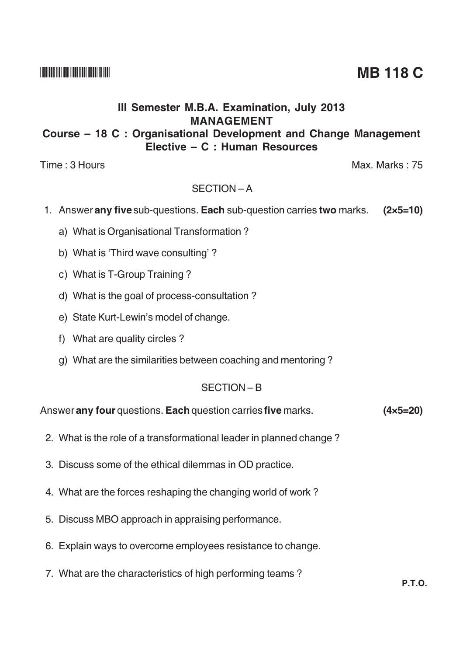## III Semester M.B.A. Examination, July 2013 **MANAGEMENT**

## Course – 18 C : Organisational Development and Change Management Elective - C : Human Resources

Time: 3 Hours

## SECTION-A

- 1. Answer any five sub-questions. Each sub-question carries two marks. (2x5=10)
	- a) What is Organisational Transformation?
	- b) What is 'Third wave consulting'?
	- c) What is T-Group Training?
	- d) What is the goal of process-consultation?
	- e) State Kurt-Lewin's model of change.
	- f) What are quality circles?
	- g) What are the similarities between coaching and mentoring?

### SECTION-B

Answer any four questions. Each question carries five marks.  $(4 \times 5 = 20)$ 

- 2. What is the role of a transformational leader in planned change?
- 3. Discuss some of the ethical dilemmas in OD practice.
- 4. What are the forces reshaping the changing world of work?
- 5. Discuss MBO approach in appraising performance.
- 6. Explain ways to overcome employees resistance to change.
- 7. What are the characteristics of high performing teams?

**MB 118 C** 

Max. Marks: 75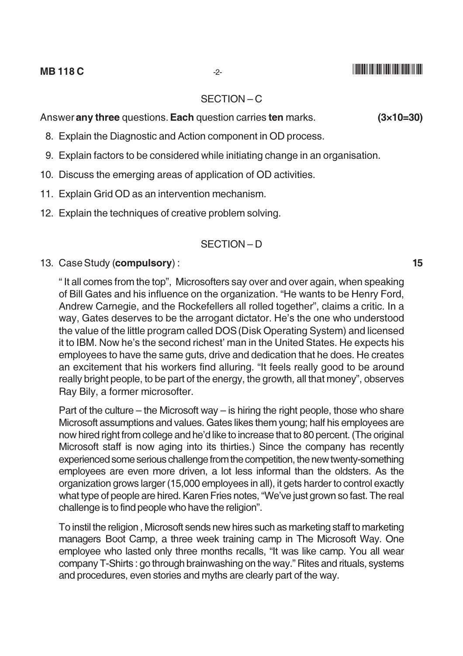#### **MB118C**

#### SECTION-C

Answer any three questions. Each question carries ten marks.

- 8. Explain the Diagnostic and Action component in OD process.
- 9. Explain factors to be considered while initiating change in an organisation.
- 10. Discuss the emerging areas of application of OD activities.
- 11. Explain Grid OD as an intervention mechanism.
- 12. Explain the techniques of creative problem solving.

#### SECTION-D

13. Case Study (compulsory):

"It all comes from the top", Microsofters say over and over again, when speaking of Bill Gates and his influence on the organization. "He wants to be Henry Ford. Andrew Carnegie, and the Rockefellers all rolled together", claims a critic. In a way, Gates deserves to be the arrogant dictator. He's the one who understood the value of the little program called DOS (Disk Operating System) and licensed it to IBM. Now he's the second richest' man in the United States. He expects his employees to have the same guts, drive and dedication that he does. He creates an excitement that his workers find alluring. "It feels really good to be around really bright people, to be part of the energy, the growth, all that money", observes Ray Bily, a former microsofter.

Part of the culture – the Microsoft way – is hiring the right people, those who share Microsoft assumptions and values. Gates likes them young; half his employees are now hired right from college and he'd like to increase that to 80 percent. (The original Microsoft staff is now aging into its thirties.) Since the company has recently experienced some serious challenge from the competition, the new twenty-something employees are even more driven, a lot less informal than the oldsters. As the organization grows larger (15,000 employees in all), it gets harder to control exactly what type of people are hired. Karen Fries notes, "We've just grown so fast. The real challenge is to find people who have the religion".

To instil the religion, Microsoft sends new hires such as marketing staff to marketing managers Boot Camp, a three week training camp in The Microsoft Way. One employee who lasted only three months recalls, "It was like camp. You all wear company T-Shirts: go through brainwashing on the way." Rites and rituals, systems and procedures, even stories and myths are clearly part of the way.

 $(3\times10=30)$